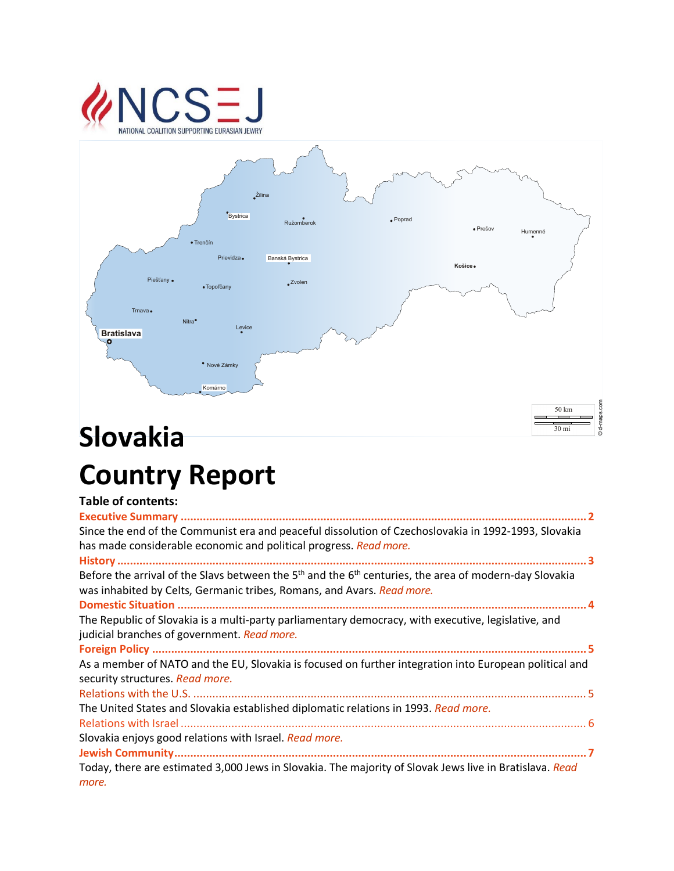# **VCSEJ** NATIONAL COALITION SUPPORTING EURASIAN JEWRY



# Slovakia **Slovakia Country Report**

## **Table of contents:**

| Since the end of the Communist era and peaceful dissolution of Czechoslovakia in 1992-1993, Slovakia<br>has made considerable economic and political progress. Read more.            |
|--------------------------------------------------------------------------------------------------------------------------------------------------------------------------------------|
| Before the arrival of the Slavs between the $5th$ and the $6th$ centuries, the area of modern-day Slovakia<br>was inhabited by Celts, Germanic tribes, Romans, and Avars. Read more. |
| The Republic of Slovakia is a multi-party parliamentary democracy, with executive, legislative, and<br>judicial branches of government. Read more.                                   |
| As a member of NATO and the EU, Slovakia is focused on further integration into European political and<br>security structures. Read more.                                            |
|                                                                                                                                                                                      |
| The United States and Slovakia established diplomatic relations in 1993. Read more.                                                                                                  |
| Slovakia enjoys good relations with Israel. Read more.                                                                                                                               |
| Today, there are estimated 3,000 Jews in Slovakia. The majority of Slovak Jews live in Bratislava. Read<br>more.                                                                     |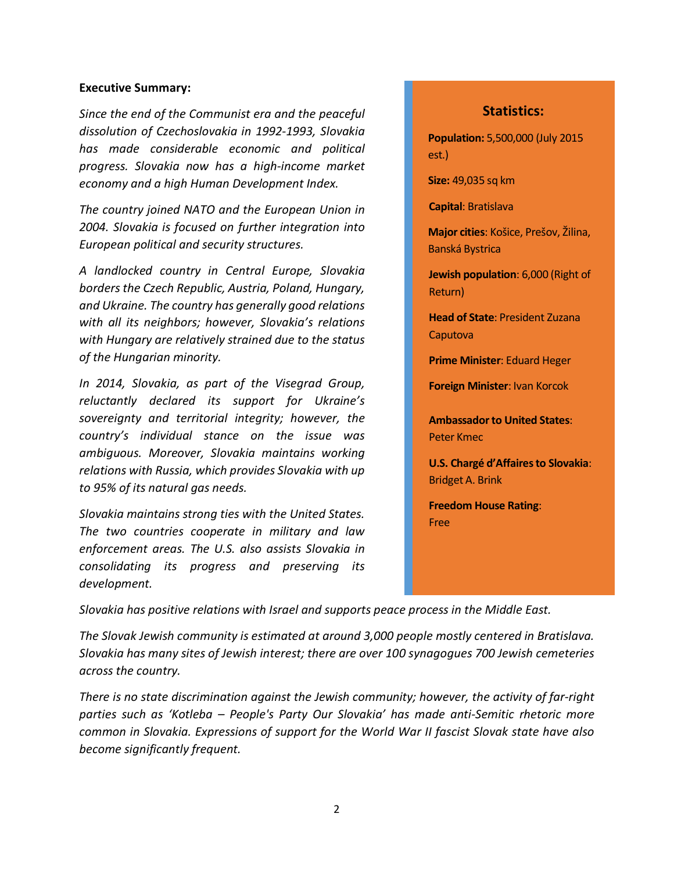#### **Executive Summary:**

*Since the end of the Communist era and the peaceful dissolution of Czechoslovakia in 1992-1993, Slovakia has made considerable economic and political progress. Slovakia now has a high-income market economy and a high Human Development Index.*

*The country joined NATO and the European Union in 2004. Slovakia is focused on further integration into European political and security structures.* 

*A landlocked country in Central Europe, Slovakia borders the Czech Republic, Austria, Poland, Hungary, and Ukraine. The country has generally good relations with all its neighbors; however, Slovakia's relations with Hungary are relatively strained due to the status of the Hungarian minority.*

*In 2014, Slovakia, as part of the Visegrad Group, reluctantly declared its support for Ukraine's sovereignty and territorial integrity; however, the country's individual stance on the issue was ambiguous. Moreover, Slovakia maintains working relations with Russia, which provides Slovakia with up to 95% of its natural gas needs.*

*Slovakia maintains strong ties with the United States. The two countries cooperate in military and law enforcement areas. The U.S. also assists Slovakia in consolidating its progress and preserving its development.*

#### **Statistics:**

**Population:** 5,500,000 (July 2015 est.)

**Size:** 49,035 sq km

**Capital**: Bratislava

**Major cities**: Košice, Prešov, Žilina, Banská Bystrica

**Jewish population**: 6,000 (Right of Return)

**Head of State**: President Zuzana Caputova

**Prime Minister**: Eduard Heger

**Foreign Minister**: Ivan Korcok

**Ambassador to United States**: Peter Kmec

**U.S. Chargé d'Affaires to Slovakia:** Bridget A. Brink

**Freedom House Rating**: Free

*Slovakia has positive relations with Israel and supports peace process in the Middle East.*

*The Slovak Jewish community is estimated at around 3,000 people mostly centered in Bratislava. Slovakia has many sites of Jewish interest; there are over 100 synagogues 700 Jewish cemeteries across the country.*

*There is no state discrimination against the Jewish community; however, the activity of far-right parties such as 'Kotleba – People's Party Our Slovakia' has made anti-Semitic rhetoric more common in Slovakia. Expressions of support for the World War II fascist Slovak state have also become significantly frequent.*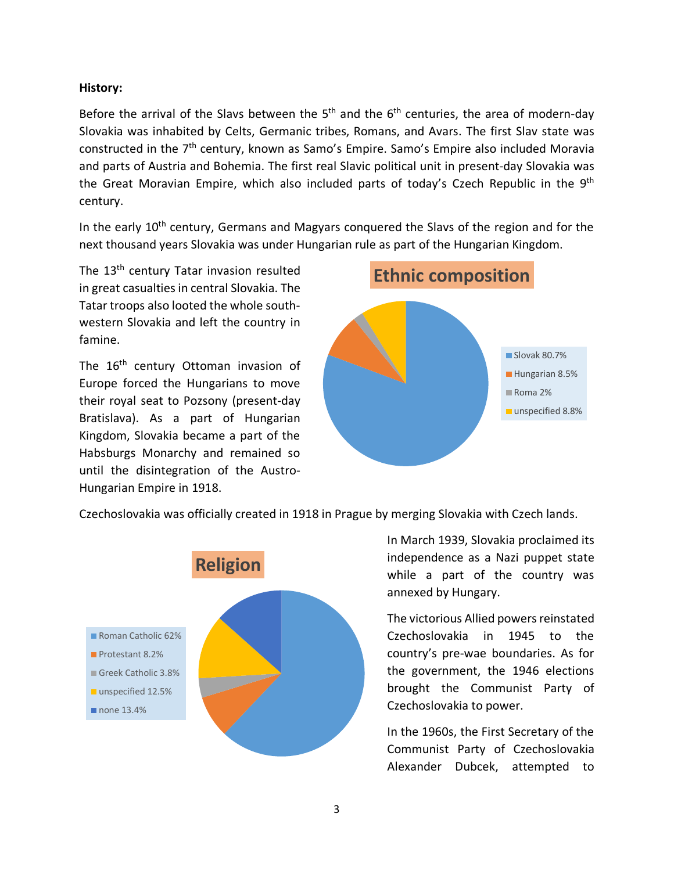#### **History:**

Before the arrival of the Slavs between the  $5<sup>th</sup>$  and the  $6<sup>th</sup>$  centuries, the area of modern-day Slovakia was inhabited by Celts, Germanic tribes, Romans, and Avars. The first Slav state was constructed in the 7th century, known as Samo's Empire. Samo's Empire also included Moravia and parts of Austria and Bohemia. The first real Slavic political unit in present-day Slovakia was the Great Moravian Empire, which also included parts of today's Czech Republic in the 9<sup>th</sup> century.

In the early 10<sup>th</sup> century, Germans and Magyars conquered the Slavs of the region and for the next thousand years Slovakia was under Hungarian rule as part of the Hungarian Kingdom.

The 13<sup>th</sup> century Tatar invasion resulted in great casualties in central Slovakia. The Tatar troops also looted the whole southwestern Slovakia and left the country in famine.

The 16<sup>th</sup> century Ottoman invasion of Europe forced the Hungarians to move their royal seat to Pozsony (present-day Bratislava). As a part of Hungarian Kingdom, Slovakia became a part of the Habsburgs Monarchy and remained so until the disintegration of the Austro-Hungarian Empire in 1918.



Czechoslovakia was officially created in 1918 in Prague by merging Slovakia with Czech lands.



In March 1939, Slovakia proclaimed its independence as a Nazi puppet state while a part of the country was annexed by Hungary.

The victorious Allied powers reinstated Czechoslovakia in 1945 to the country's pre-wae boundaries. As for the government, the 1946 elections brought the Communist Party of Czechoslovakia to power.

In the 1960s, the First Secretary of the Communist Party of Czechoslovakia Alexander Dubcek, attempted to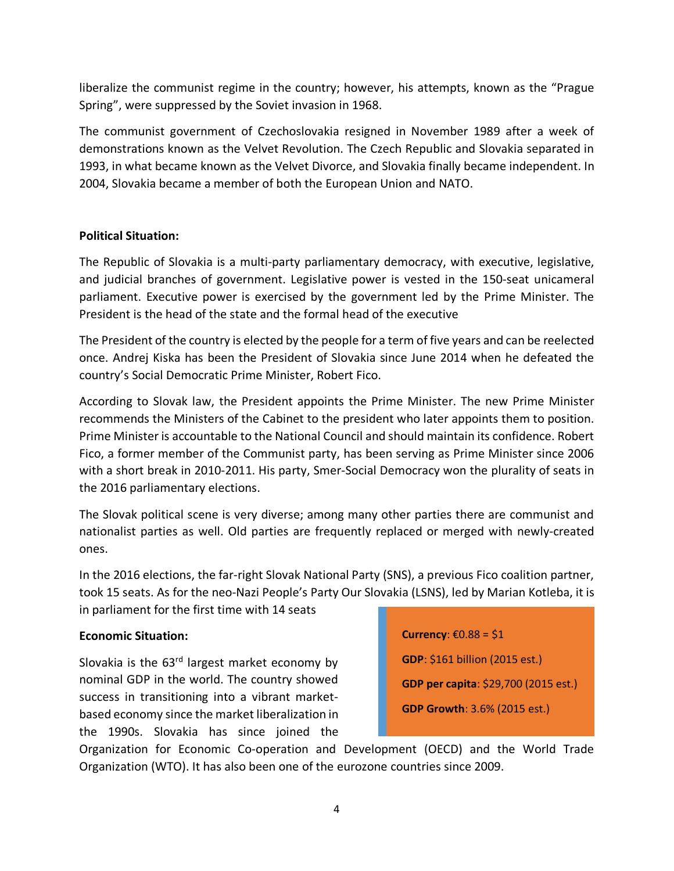liberalize the communist regime in the country; however, his attempts, known as the "Prague Spring", were suppressed by the Soviet invasion in 1968.

The communist government of Czechoslovakia resigned in November 1989 after a week of demonstrations known as the Velvet Revolution. The Czech Republic and Slovakia separated in 1993, in what became known as the Velvet Divorce, and Slovakia finally became independent. In 2004, Slovakia became a member of both the European Union and NATO.

#### **Political Situation:**

The Republic of Slovakia is a multi-party parliamentary democracy, with executive, legislative, and judicial branches of government. Legislative power is vested in the 150-seat unicameral parliament. Executive power is exercised by the government led by the Prime Minister. The President is the head of the state and the formal head of the executive

The President of the country is elected by the people for a term of five years and can be reelected once. Andrej Kiska has been the President of Slovakia since June 2014 when he defeated the country's Social Democratic Prime Minister, Robert Fico.

According to Slovak law, the President appoints the Prime Minister. The new Prime Minister recommends the Ministers of the Cabinet to the president who later appoints them to position. Prime Minister is accountable to the National Council and should maintain its confidence. Robert Fico, a former member of the Communist party, has been serving as Prime Minister since 2006 with a short break in 2010-2011. His party, Smer-Social Democracy won the plurality of seats in the 2016 parliamentary elections.

The Slovak political scene is very diverse; among many other parties there are communist and nationalist parties as well. Old parties are frequently replaced or merged with newly-created ones.

In the 2016 elections, the far-right Slovak National Party (SNS), a previous Fico coalition partner, took 15 seats. As for the neo-Nazi People's Party Our Slovakia (LSNS), led by Marian Kotleba, it is in parliament for the first time with 14 seats

#### **Economic Situation:**

Slovakia is the 63<sup>rd</sup> largest market economy by nominal GDP in the world. The country showed success in transitioning into a vibrant marketbased economy since the market liberalization in the 1990s. Slovakia has since joined the **Currency**: €0.88 = \$1 **GDP**: \$161 billion (2015 est.) **GDP per capita**: \$29,700 (2015 est.) **GDP Growth**: 3.6% (2015 est.)

Organization for Economic Co-operation and Development (OECD) and the World Trade Organization (WTO). It has also been one of the eurozone countries since 2009.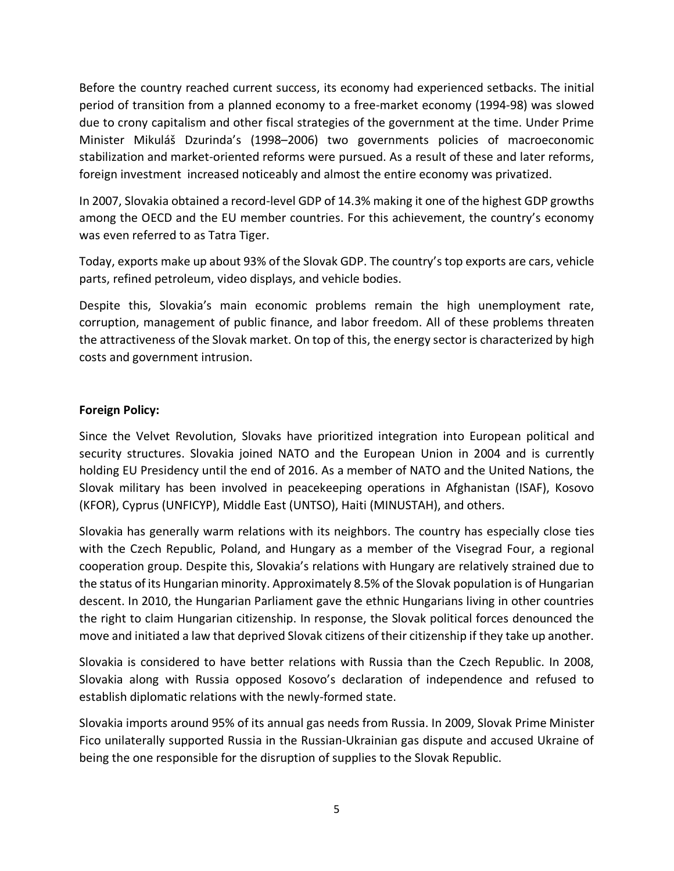Before the country reached current success, its economy had experienced setbacks. The initial period of transition from a planned economy to a free-market economy (1994-98) was slowed due to crony capitalism and other fiscal strategies of the government at the time. Under Prime Minister Mikuláš Dzurinda's (1998–2006) two governments policies of macroeconomic stabilization and market-oriented reforms were pursued. As a result of these and later reforms, foreign investment increased noticeably and almost the entire economy was privatized.

In 2007, Slovakia obtained a record-level GDP of 14.3% making it one of the highest GDP growths among the OECD and the EU member countries. For this achievement, the country's economy was even referred to as Tatra Tiger.

Today, exports make up about 93% of the Slovak GDP. The country's top exports are cars, vehicle parts, refined petroleum, video displays, and vehicle bodies.

Despite this, Slovakia's main economic problems remain the high unemployment rate, corruption, management of public finance, and labor freedom. All of these problems threaten the attractiveness of the Slovak market. On top of this, the energy sector is characterized by high costs and government intrusion.

#### **Foreign Policy:**

Since the Velvet Revolution, Slovaks have prioritized integration into European political and security structures. Slovakia joined NATO and the European Union in 2004 and is currently holding EU Presidency until the end of 2016. As a member of NATO and the United Nations, the Slovak military has been involved in peacekeeping operations in Afghanistan (ISAF), Kosovo (KFOR), Cyprus (UNFICYP), Middle East (UNTSO), Haiti (MINUSTAH), and others.

Slovakia has generally warm relations with its neighbors. The country has especially close ties with the Czech Republic, Poland, and Hungary as a member of the Visegrad Four, a regional cooperation group. Despite this, Slovakia's relations with Hungary are relatively strained due to the status of its Hungarian minority. Approximately 8.5% of the Slovak population is of Hungarian descent. In 2010, the Hungarian Parliament gave the ethnic Hungarians living in other countries the right to claim Hungarian citizenship. In response, the Slovak political forces denounced the move and initiated a law that deprived Slovak citizens of their citizenship if they take up another.

Slovakia is considered to have better relations with Russia than the Czech Republic. In 2008, Slovakia along with Russia opposed Kosovo's declaration of independence and refused to establish diplomatic relations with the newly-formed state.

Slovakia imports around 95% of its annual gas needs from Russia. In 2009, Slovak Prime Minister Fico unilaterally supported Russia in the Russian-Ukrainian gas dispute and accused Ukraine of being the one responsible for the disruption of supplies to the Slovak Republic.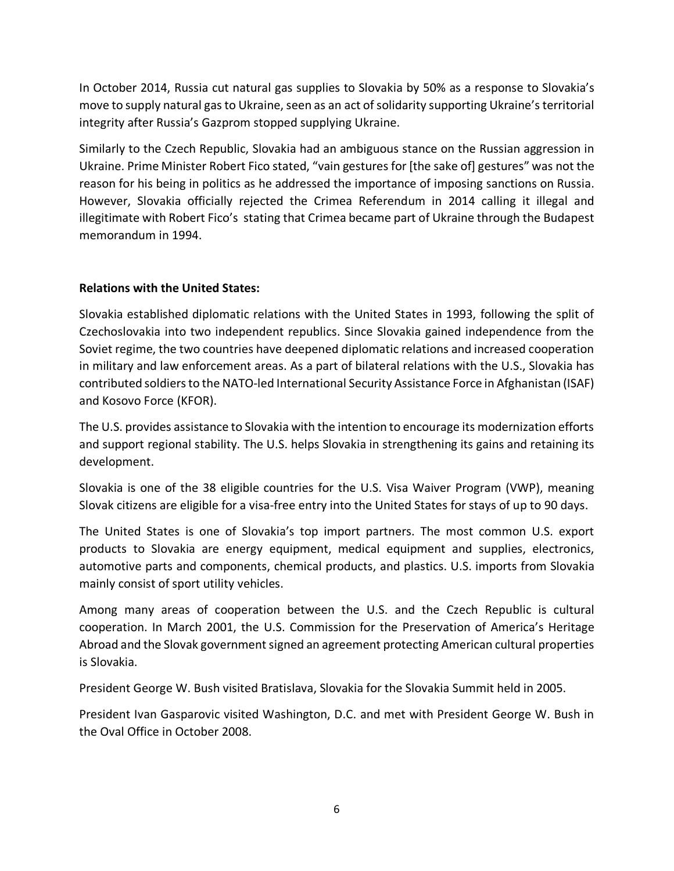In October 2014, Russia cut natural gas supplies to Slovakia by 50% as a response to Slovakia's move to supply natural gasto Ukraine, seen as an act of solidarity supporting Ukraine's territorial integrity after Russia's Gazprom stopped supplying Ukraine.

Similarly to the Czech Republic, Slovakia had an ambiguous stance on the Russian aggression in Ukraine. Prime Minister Robert Fico stated, "vain gestures for [the sake of] gestures" was not the reason for his being in politics as he addressed the importance of imposing sanctions on Russia. However, Slovakia officially rejected the Crimea Referendum in 2014 calling it illegal and illegitimate with Robert Fico's stating that Crimea became part of Ukraine through the Budapest memorandum in 1994.

### **Relations with the United States:**

Slovakia established diplomatic relations with the United States in 1993, following the split of Czechoslovakia into two independent republics. Since Slovakia gained independence from the Soviet regime, the two countries have deepened diplomatic relations and increased cooperation in military and law enforcement areas. As a part of bilateral relations with the U.S., Slovakia has contributed soldiers to the NATO-led International Security Assistance Force in Afghanistan (ISAF) and Kosovo Force (KFOR).

The U.S. provides assistance to Slovakia with the intention to encourage its modernization efforts and support regional stability. The U.S. helps Slovakia in strengthening its gains and retaining its development.

Slovakia is one of the 38 eligible countries for the U.S. Visa Waiver Program (VWP), meaning Slovak citizens are eligible for a visa-free entry into the United States for stays of up to 90 days.

The United States is one of Slovakia's top import partners. The most common U.S. export products to Slovakia are energy equipment, medical equipment and supplies, electronics, automotive parts and components, chemical products, and plastics. U.S. imports from Slovakia mainly consist of sport utility vehicles.

Among many areas of cooperation between the U.S. and the Czech Republic is cultural cooperation. In March 2001, the U.S. Commission for the Preservation of America's Heritage Abroad and the Slovak government signed an agreement protecting American cultural properties is Slovakia.

President George W. Bush visited Bratislava, Slovakia for the Slovakia Summit held in 2005.

President Ivan Gasparovic visited Washington, D.C. and met with President George W. Bush in the Oval Office in October 2008.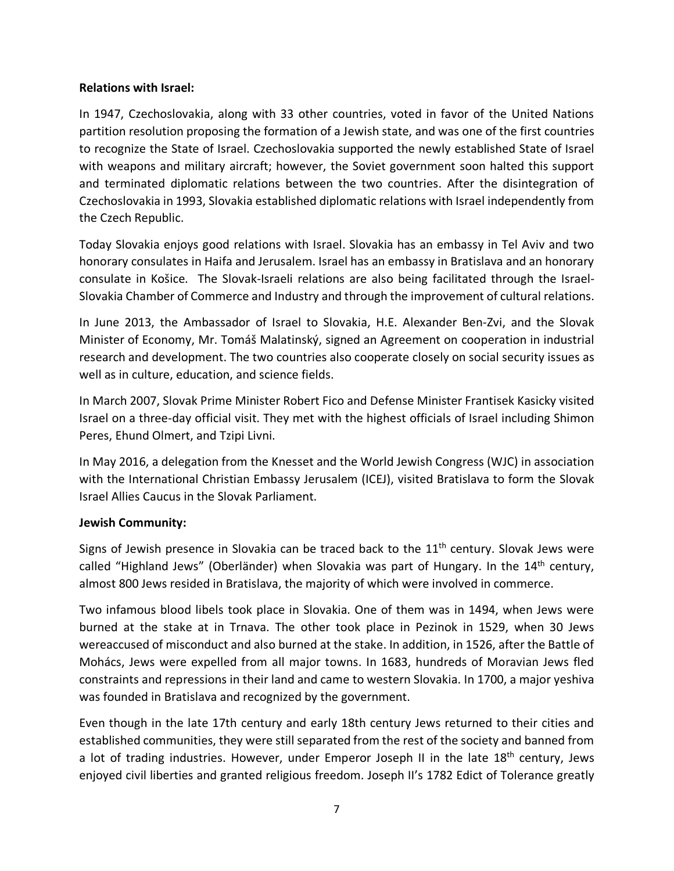#### **Relations with Israel:**

In 1947, Czechoslovakia, along with 33 other countries, voted in favor of the United Nations partition resolution proposing the formation of a Jewish state, and was one of the first countries to recognize the State of Israel. Czechoslovakia supported the newly established State of Israel with weapons and military aircraft; however, the Soviet government soon halted this support and terminated diplomatic relations between the two countries. After the disintegration of Czechoslovakia in 1993, Slovakia established diplomatic relations with Israel independently from the Czech Republic.

Today Slovakia enjoys good relations with Israel. Slovakia has an embassy in Tel Aviv and two honorary consulates in Haifa and Jerusalem. Israel has an embassy in Bratislava and an honorary consulate in Košice. The Slovak-Israeli relations are also being facilitated through the Israel-Slovakia Chamber of Commerce and Industry and through the improvement of cultural relations.

In June 2013, the Ambassador of Israel to Slovakia, H.E. Alexander Ben-Zvi, and the Slovak Minister of Economy, Mr. Tomáš Malatinský, signed an Agreement on cooperation in industrial research and development. The two countries also cooperate closely on social security issues as well as in culture, education, and science fields.

In March 2007, Slovak Prime Minister Robert Fico and Defense Minister Frantisek Kasicky visited Israel on a three-day official visit. They met with the highest officials of Israel including Shimon Peres, Ehund Olmert, and Tzipi Livni.

In May 2016, a delegation from the Knesset and the World Jewish Congress (WJC) in association with the International Christian Embassy Jerusalem (ICEJ), visited Bratislava to form the Slovak Israel Allies Caucus in the Slovak Parliament.

#### **Jewish Community:**

Signs of Jewish presence in Slovakia can be traced back to the 11<sup>th</sup> century. Slovak Jews were called "Highland Jews" (Oberländer) when Slovakia was part of Hungary. In the 14<sup>th</sup> century, almost 800 Jews resided in Bratislava, the majority of which were involved in commerce.

Two infamous blood libels took place in Slovakia. One of them was in 1494, when Jews were burned at the stake at in Trnava. The other took place in Pezinok in 1529, when 30 Jews wereaccused of misconduct and also burned at the stake. In addition, in 1526, after the Battle of Mohács, Jews were expelled from all major towns. In 1683, hundreds of Moravian Jews fled constraints and repressions in their land and came to western Slovakia. In 1700, a major yeshiva was founded in Bratislava and recognized by the government.

Even though in the late 17th century and early 18th century Jews returned to their cities and established communities, they were still separated from the rest of the society and banned from a lot of trading industries. However, under Emperor Joseph II in the late 18<sup>th</sup> century, Jews enjoyed civil liberties and granted religious freedom. Joseph II's 1782 Edict of Tolerance greatly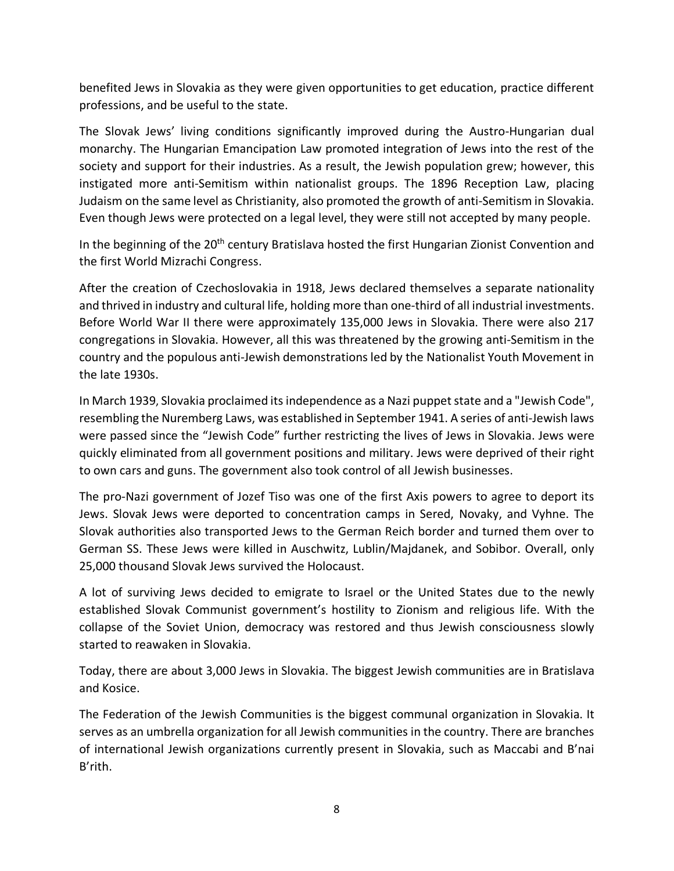benefited Jews in Slovakia as they were given opportunities to get education, practice different professions, and be useful to the state.

The Slovak Jews' living conditions significantly improved during the Austro-Hungarian dual monarchy. The Hungarian Emancipation Law promoted integration of Jews into the rest of the society and support for their industries. As a result, the Jewish population grew; however, this instigated more anti-Semitism within nationalist groups. The 1896 Reception Law, placing Judaism on the same level as Christianity, also promoted the growth of anti-Semitism in Slovakia. Even though Jews were protected on a legal level, they were still not accepted by many people.

In the beginning of the 20<sup>th</sup> century Bratislava hosted the first Hungarian Zionist Convention and the first World Mizrachi Congress.

After the creation of Czechoslovakia in 1918, Jews declared themselves a separate nationality and thrived in industry and cultural life, holding more than one-third of all industrial investments. Before World War II there were approximately 135,000 Jews in Slovakia. There were also 217 congregations in Slovakia. However, all this was threatened by the growing anti-Semitism in the country and the populous anti-Jewish demonstrations led by the Nationalist Youth Movement in the late 1930s.

In March 1939, Slovakia proclaimed its independence as a Nazi puppet state and a "Jewish Code", resembling the Nuremberg Laws, was established in September 1941. A series of anti-Jewish laws were passed since the "Jewish Code" further restricting the lives of Jews in Slovakia. Jews were quickly eliminated from all government positions and military. Jews were deprived of their right to own cars and guns. The government also took control of all Jewish businesses.

The pro-Nazi government of Jozef Tiso was one of the first Axis powers to agree to deport its Jews. Slovak Jews were deported to concentration camps in Sered, Novaky, and Vyhne. The Slovak authorities also transported Jews to the German Reich border and turned them over to German SS. These Jews were killed in Auschwitz, Lublin/Majdanek, and Sobibor. Overall, only 25,000 thousand Slovak Jews survived the Holocaust.

A lot of surviving Jews decided to emigrate to Israel or the United States due to the newly established Slovak Communist government's hostility to Zionism and religious life. With the collapse of the Soviet Union, democracy was restored and thus Jewish consciousness slowly started to reawaken in Slovakia.

Today, there are about 3,000 Jews in Slovakia. The biggest Jewish communities are in Bratislava and Kosice.

The Federation of the Jewish Communities is the biggest communal organization in Slovakia. It serves as an umbrella organization for all Jewish communities in the country. There are branches of international Jewish organizations currently present in Slovakia, such as Maccabi and B'nai B'rith.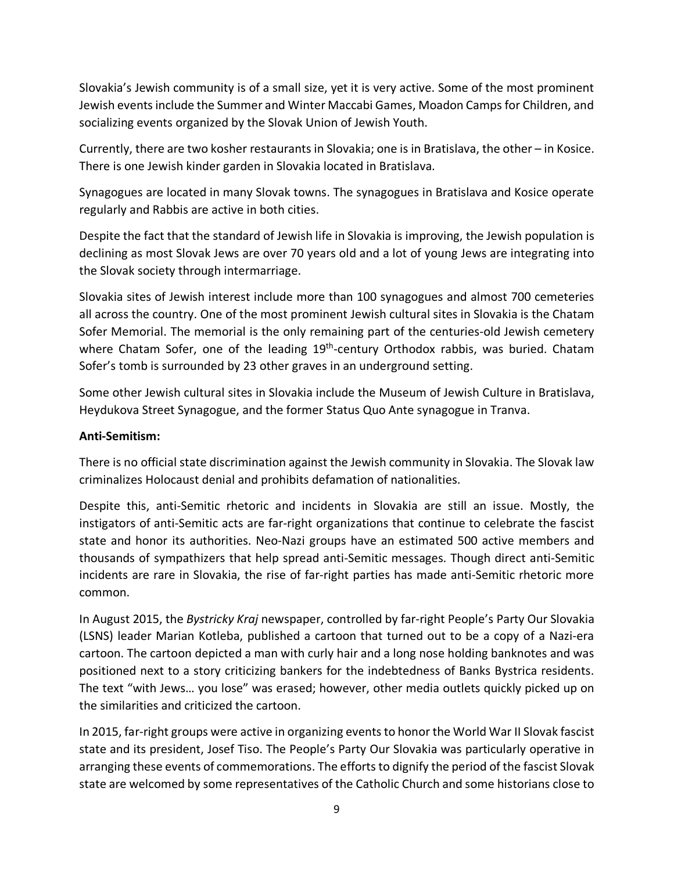Slovakia's Jewish community is of a small size, yet it is very active. Some of the most prominent Jewish events include the Summer and Winter Maccabi Games, Moadon Camps for Children, and socializing events organized by the Slovak Union of Jewish Youth.

Currently, there are two kosher restaurants in Slovakia; one is in Bratislava, the other – in Kosice. There is one Jewish kinder garden in Slovakia located in Bratislava.

Synagogues are located in many Slovak towns. The synagogues in Bratislava and Kosice operate regularly and Rabbis are active in both cities.

Despite the fact that the standard of Jewish life in Slovakia is improving, the Jewish population is declining as most Slovak Jews are over 70 years old and a lot of young Jews are integrating into the Slovak society through intermarriage.

Slovakia sites of Jewish interest include more than 100 synagogues and almost 700 cemeteries all across the country. One of the most prominent Jewish cultural sites in Slovakia is the Chatam Sofer Memorial. The memorial is the only remaining part of the centuries-old Jewish cemetery where Chatam Sofer, one of the leading  $19<sup>th</sup>$ -century Orthodox rabbis, was buried. Chatam Sofer's tomb is surrounded by 23 other graves in an underground setting.

Some other Jewish cultural sites in Slovakia include the Museum of Jewish Culture in Bratislava, Heydukova Street Synagogue, and the former Status Quo Ante synagogue in Tranva.

#### **Anti-Semitism:**

There is no official state discrimination against the Jewish community in Slovakia. The Slovak law criminalizes Holocaust denial and prohibits defamation of nationalities.

Despite this, anti-Semitic rhetoric and incidents in Slovakia are still an issue. Mostly, the instigators of anti-Semitic acts are far-right organizations that continue to celebrate the fascist state and honor its authorities. Neo-Nazi groups have an estimated 500 active members and thousands of sympathizers that help spread anti-Semitic messages. Though direct anti-Semitic incidents are rare in Slovakia, the rise of far-right parties has made anti-Semitic rhetoric more common.

In August 2015, the *Bystricky Kraj* newspaper, controlled by far-right People's Party Our Slovakia (LSNS) leader Marian Kotleba, published a cartoon that turned out to be a copy of a Nazi-era cartoon. The cartoon depicted a man with curly hair and a long nose holding banknotes and was positioned next to a story criticizing bankers for the indebtedness of Banks Bystrica residents. The text "with Jews… you lose" was erased; however, other media outlets quickly picked up on the similarities and criticized the cartoon.

In 2015, far-right groups were active in organizing events to honor the World War II Slovak fascist state and its president, Josef Tiso. The People's Party Our Slovakia was particularly operative in arranging these events of commemorations. The efforts to dignify the period of the fascist Slovak state are welcomed by some representatives of the Catholic Church and some historians close to